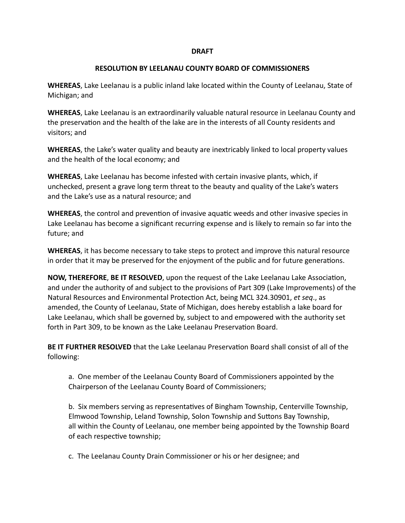## **DRAFT**

## **RESOLUTION BY LEELANAU COUNTY BOARD OF COMMISSIONERS**

**WHEREAS**, Lake Leelanau is a public inland lake located within the County of Leelanau, State of Michigan; and

**WHEREAS**, Lake Leelanau is an extraordinarily valuable natural resource in Leelanau County and the preservation and the health of the lake are in the interests of all County residents and visitors; and

**WHEREAS**, the Lake's water quality and beauty are inextricably linked to local property values and the health of the local economy; and

**WHEREAS**, Lake Leelanau has become infested with certain invasive plants, which, if unchecked, present a grave long term threat to the beauty and quality of the Lake's waters and the Lake's use as a natural resource; and

**WHEREAS**, the control and prevention of invasive aquatic weeds and other invasive species in Lake Leelanau has become a significant recurring expense and is likely to remain so far into the future; and

**WHEREAS**, it has become necessary to take steps to protect and improve this natural resource in order that it may be preserved for the enjoyment of the public and for future generations.

**NOW, THEREFORE, BE IT RESOLVED**, upon the request of the Lake Leelanau Lake Association, and under the authority of and subject to the provisions of Part 309 (Lake Improvements) of the Natural Resources and Environmental Protection Act, being MCL 324.30901, et seq., as amended, the County of Leelanau, State of Michigan, does hereby establish a lake board for Lake Leelanau, which shall be governed by, subject to and empowered with the authority set forth in Part 309, to be known as the Lake Leelanau Preservation Board.

**BE IT FURTHER RESOLVED** that the Lake Leelanau Preservation Board shall consist of all of the following:

a. One member of the Leelanau County Board of Commissioners appointed by the Chairperson of the Leelanau County Board of Commissioners;

b. Six members serving as representatives of Bingham Township, Centerville Township, Elmwood Township, Leland Township, Solon Township and Suttons Bay Township, all within the County of Leelanau, one member being appointed by the Township Board of each respective township;

c. The Leelanau County Drain Commissioner or his or her designee; and